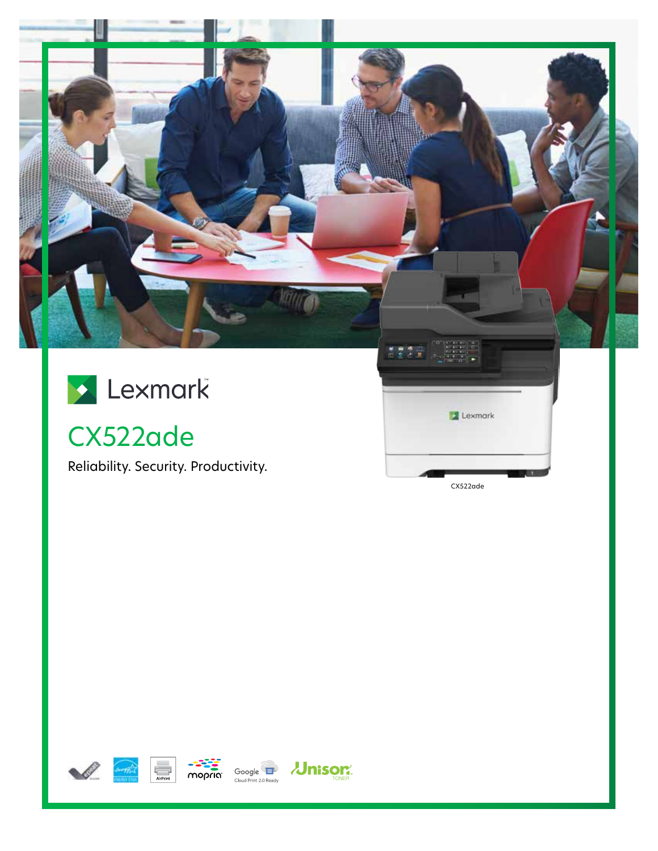

CX522ade

Reliability. Security. Productivity.

CX522ade

Lexmark







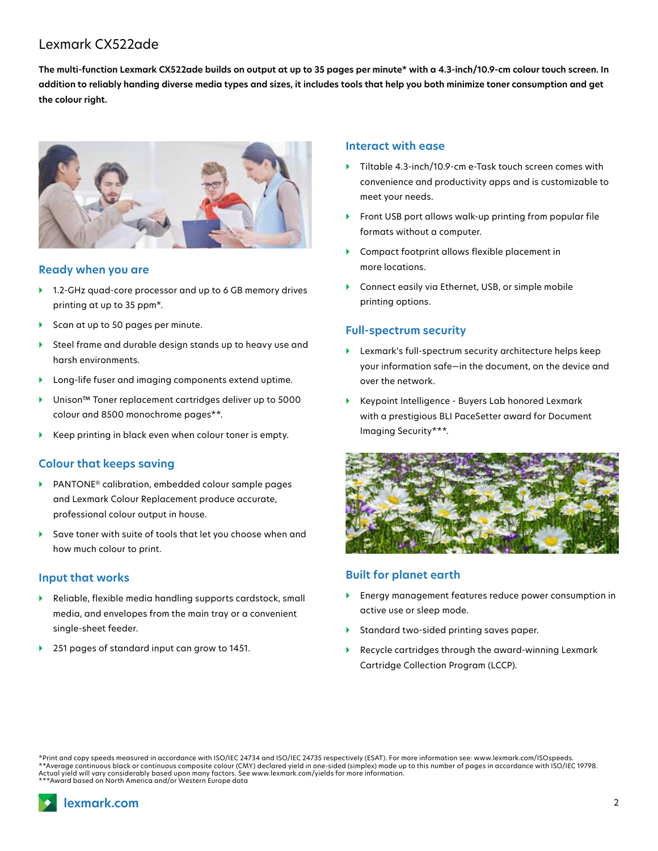# Lexmark CX522ade

**The multi-function Lexmark CX522ade builds on output at up to 35 pages per minute\* with a 4.3-inch/10.9-cm colour touch screen. In addition to reliably handing diverse media types and sizes, it includes tools that help you both minimize toner consumption and get the colour right.**



#### **Ready when you are**

- ▶ 1.2-GHz quad-core processor and up to 6 GB memory drives printing at up to 35 ppm\*.
- ▶ Scan at up to 50 pages per minute.
- } Steel frame and durable design stands up to heavy use and harsh environments.
- } Long-life fuser and imaging components extend uptime.
- } Unison™ Toner replacement cartridges deliver up to 5000 colour and 8500 monochrome pages\*\*.
- Keep printing in black even when colour toner is empty.

#### **Colour that keeps saving**

- } PANTONE® calibration, embedded colour sample pages and Lexmark Colour Replacement produce accurate, professional colour output in house.
- Save toner with suite of tools that let you choose when and how much colour to print.

#### **Input that works**

- } Reliable, flexible media handling supports cardstock, small media, and envelopes from the main tray or a convenient single-sheet feeder.
- } 251 pages of standard input can grow to 1451.

#### **Interact with ease**

- } Tiltable 4.3-inch/10.9-cm e-Task touch screen comes with convenience and productivity apps and is customizable to meet your needs.
- Front USB port allows walk-up printing from popular file formats without a computer.
- ▶ Compact footprint allows flexible placement in more locations.
- } Connect easily via Ethernet, USB, or simple mobile printing options.

#### **Full-spectrum security**

- } Lexmark's full-spectrum security architecture helps keep your information safe—in the document, on the device and over the network.
- } Keypoint Intelligence Buyers Lab honored Lexmark with a prestigious BLI PaceSetter award for Document Imaging Security\*\*\*.



### **Built for planet earth**

- } Energy management features reduce power consumption in active use or sleep mode.
- } Standard two-sided printing saves paper.
- } Recycle cartridges through the award-winning Lexmark Cartridge Collection Program (LCCP).

\*Print and copy speeds measured in accordance with ISO/IEC 24734 and ISO/IEC 24735 respectively (ESAT). For more information see: www.lexmark.com/ISOspeeds. \*\*Average continuous black or continuous composite colour (CMY) declared yield in one-sided (simplex) mode up to this number of pages in accordance with ISO/IEC 19798. Actual yield will vary considerably based upon many factors. See www.lexmark.com/yields for more information. \*\*\*Award based on North America and/or Western Europe data



2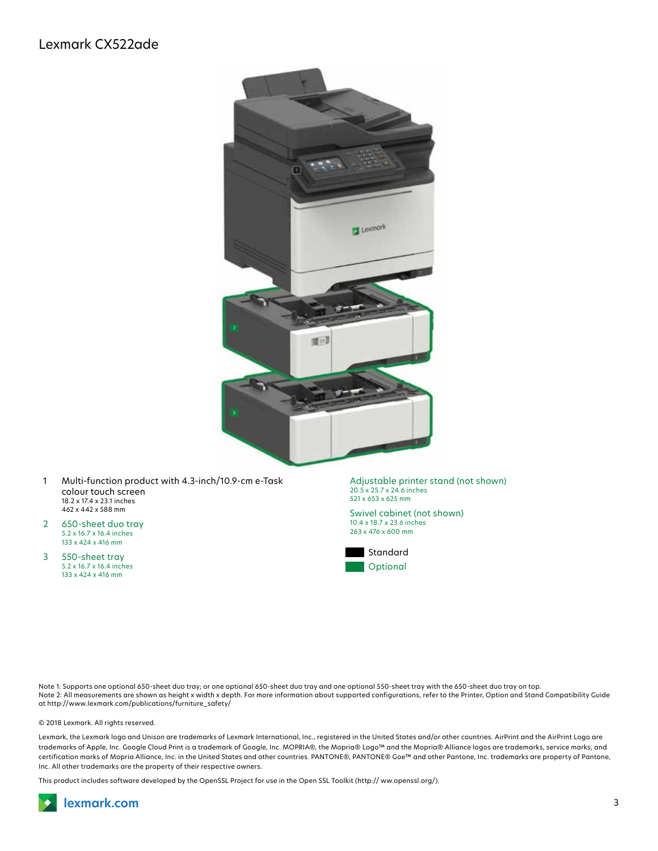## Lexmark CX522ade



- 1 Multi-function product with 4.3-inch/10.9-cm e-Task colour touch screen 18.2 x 17.4 x 23.1 inches 462 x 442 x 588 mm
- 2 650-sheet duo tray 5.2 x 16.7 x 16.4 inches 133 x 424 x 416 mm
- 3 550-sheet tray 5.2 x 16.7 x 16.4 inches 133 x 424 x 416 mm

Adjustable printer stand (not shown) 20.5 x 25.7 x 24.6 inches 521 x 653 x 625 mm

Swivel cabinet (not shown) 10.4 x 18.7 x 23.6 inches 263 x 476 x 600 mm



Note 1: Supports one optional 650-sheet duo tray; or one optional 650-sheet duo tray and one optional 550-sheet tray with the 650-sheet duo tray on top. Note 2: All measurements are shown as height x width x depth. For more information about supported configurations, refer to the Printer, Option and Stand Compatibility Guide at http://www.lexmark.com/publications/furniture\_safety/

© 2018 Lexmark. All rights reserved.

Lexmark, the Lexmark logo and Unison are trademarks of Lexmark International, Inc., registered in the United States and/or other countries. AirPrint and the AirPrint Logo are trademarks of Apple, Inc. Google Cloud Print is a trademark of Google, Inc. MOPRIA®, the Mopria® Logo™ and the Mopria® Alliance logos are trademarks, service marks, and certification marks of Mopria Alliance, Inc. in the United States and other countries. PANTONE®, PANTONE® Goe™ and other Pantone, Inc. trademarks are property of Pantone, Inc. All other trademarks are the property of their respective owners.

This product includes software developed by the OpenSSL Project for use in the Open SSL Toolkit (http:// ww.openssl.org/).